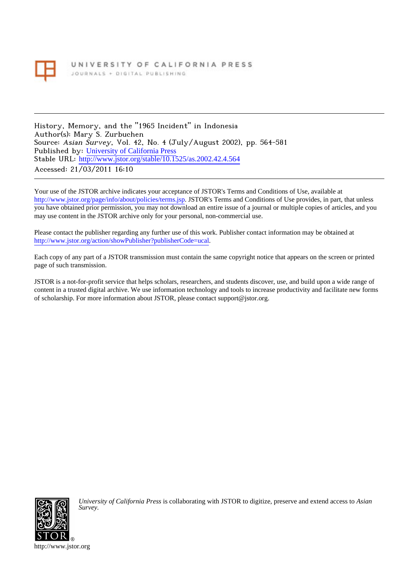

UNIVERSITY OF CALIFORNIA PRESS JOURNALS + DIGITAL PUBLISHING

History, Memory, and the "1965 Incident" in Indonesia Author(s): Mary S. Zurbuchen Source: Asian Survey, Vol. 42, No. 4 (July/August 2002), pp. 564-581 Published by: [University of California Press](http://www.jstor.org/action/showPublisher?publisherCode=ucal) Stable URL: [http://www.jstor.org/stable/10.1525/as.2002.42.4.564](http://www.jstor.org/stable/10.1525/as.2002.42.4.564?origin=JSTOR-pdf) . Accessed: 21/03/2011 16:10

Your use of the JSTOR archive indicates your acceptance of JSTOR's Terms and Conditions of Use, available at <http://www.jstor.org/page/info/about/policies/terms.jsp>. JSTOR's Terms and Conditions of Use provides, in part, that unless you have obtained prior permission, you may not download an entire issue of a journal or multiple copies of articles, and you may use content in the JSTOR archive only for your personal, non-commercial use.

Please contact the publisher regarding any further use of this work. Publisher contact information may be obtained at [http://www.jstor.org/action/showPublisher?publisherCode=ucal.](http://www.jstor.org/action/showPublisher?publisherCode=ucal) .

Each copy of any part of a JSTOR transmission must contain the same copyright notice that appears on the screen or printed page of such transmission.

JSTOR is a not-for-profit service that helps scholars, researchers, and students discover, use, and build upon a wide range of content in a trusted digital archive. We use information technology and tools to increase productivity and facilitate new forms of scholarship. For more information about JSTOR, please contact support@jstor.org.



*University of California Press* is collaborating with JSTOR to digitize, preserve and extend access to *Asian Survey.*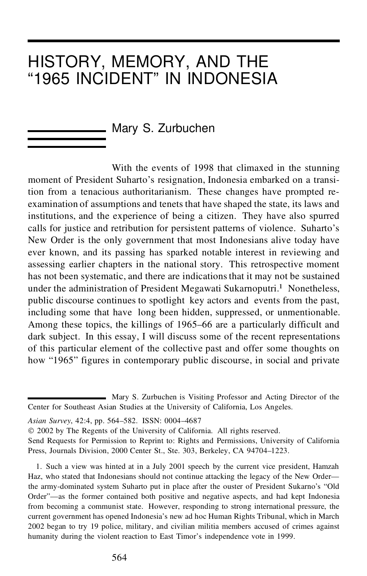# HISTORY, MEMORY, AND THE "1965 INCIDENT" IN INDONESIA

#### Mary S. Zurbuchen

With the events of 1998 that climaxed in the stunning moment of President Suharto's resignation, Indonesia embarked on a transition from a tenacious authoritarianism. These changes have prompted reexamination of assumptions and tenets that have shaped the state, its laws and institutions, and the experience of being a citizen. They have also spurred calls for justice and retribution for persistent patterns of violence. Suharto's New Order is the only government that most Indonesians alive today have ever known, and its passing has sparked notable interest in reviewing and assessing earlier chapters in the national story. This retrospective moment has not been systematic, and there are indications that it may not be sustained under the administration of President Megawati Sukarnoputri.<sup>1</sup> Nonetheless, public discourse continues to spotlight key actors and events from the past, including some that have long been hidden, suppressed, or unmentionable. Among these topics, the killings of 1965–66 are a particularly difficult and dark subject. In this essay, I will discuss some of the recent representations of this particular element of the collective past and offer some thoughts on how "1965" figures in contemporary public discourse, in social and private

*Asian Survey*, 42:4, pp. 564–582. ISSN: 0004–4687

Mary S. Zurbuchen is Visiting Professor and Acting Director of the Center for Southeast Asian Studies at the University of California, Los Angeles.

Ó 2002 by The Regents of the University of California. All rights reserved.

Send Requests for Permission to Reprint to: Rights and Permissions, University of California Press, Journals Division, 2000 Center St., Ste. 303, Berkeley, CA 94704–1223.

<sup>1.</sup> Such a view was hinted at in a July 2001 speech by the current vice president, Hamzah Haz, who stated that Indonesians should not continue attacking the legacy of the New Order the army-dominated system Suharto put in place after the ouster of President Sukarno's "Old Order"—as the former contained both positive and negative aspects, and had kept Indonesia from becoming a communist state. However, responding to strong international pressure, the current government has opened Indonesia's new ad hoc Human Rights Tribunal, which in March 2002 began to try 19 police, military, and civilian militia members accused of crimes against humanity during the violent reaction to East Timor's independence vote in 1999.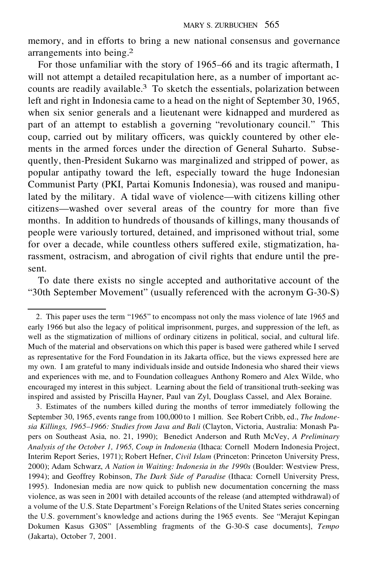memory, and in efforts to bring a new national consensus and governance arrangements into being.2

For those unfamiliar with the story of 1965–66 and its tragic aftermath, I will not attempt a detailed recapitulation here, as a number of important accounts are readily available.3 To sketch the essentials, polarization between left and right in Indonesia came to a head on the night of September 30, 1965, when six senior generals and a lieutenant were kidnapped and murdered as part of an attempt to establish a governing "revolutionary council." This coup, carried out by military officers, was quickly countered by other elements in the armed forces under the direction of General Suharto. Subsequently, then-President Sukarno was marginalized and stripped of power, as popular antipathy toward the left, especially toward the huge Indonesian Communist Party (PKI, Partai Komunis Indonesia), was roused and manipulated by the military. A tidal wave of violence—with citizens killing other citizens—washed over several areas of the country for more than five months. In addition to hundreds of thousands of killings, many thousands of people were variously tortured, detained, and imprisoned without trial, some for over a decade, while countless others suffered exile, stigmatization, harassment, ostracism, and abrogation of civil rights that endure until the present.

To date there exists no single accepted and authoritative account of the "30th September Movement" (usually referenced with the acronym G-30-S)

3. Estimates of the numbers killed during the months of terror immediately following the September 30, 1965, events range from 100,000 to 1 million. See Robert Cribb, ed., *The Indonesia Killings, 1965–1966: Studies from Java and Bali* (Clayton, Victoria, Australia: Monash Papers on Southeast Asia, no. 21, 1990); Benedict Anderson and Ruth McVey, *A Preliminary Analysis of the October 1, 1965, Coup in Indonesia* (Ithaca: Cornell Modern Indonesia Project, Interim Report Series, 1971); Robert Hefner, *Civil Islam* (Princeton: Princeton University Press, 2000); Adam Schwarz, *A Nation in Waiting: Indonesia in the 1990s* (Boulder: Westview Press, 1994); and Geoffrey Robinson, *The Dark Side of Paradise* (Ithaca: Cornell University Press, 1995). Indonesian media are now quick to publish new documentation concerning the mass violence, as was seen in 2001 with detailed accounts of the release (and attempted withdrawal) of a volume of the U.S. State Department's Foreign Relations of the United States series concerning the U.S. government's knowledge and actions during the 1965 events. See "Merajut Kepingan Dokumen Kasus G30S" [Assembling fragments of the G-30-S case documents], *Tempo* (Jakarta), October 7, 2001.

<sup>2.</sup> This paper uses the term "1965" to encompass not only the mass violence of late 1965 and early 1966 but also the legacy of political imprisonment, purges, and suppression of the left, as well as the stigmatization of millions of ordinary citizens in political, social, and cultural life. Much of the material and observations on which this paper is based were gathered while I served as representative for the Ford Foundation in its Jakarta office, but the views expressed here are my own. I am grateful to many individuals inside and outside Indonesia who shared their views and experiences with me, and to Foundation colleagues Anthony Romero and Alex Wilde, who encouraged my interest in this subject. Learning about the field of transitional truth-seeking was inspired and assisted by Priscilla Hayner, Paul van Zyl, Douglass Cassel, and Alex Boraine.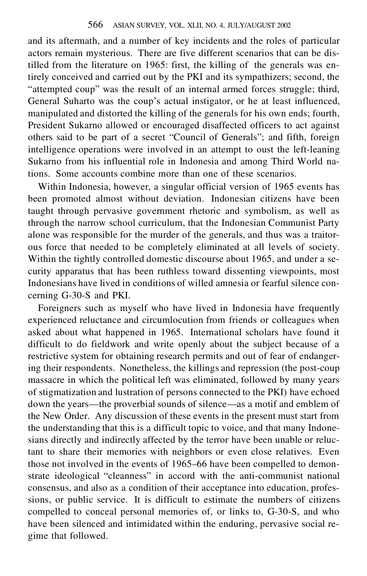and its aftermath, and a number of key incidents and the roles of particular actors remain mysterious. There are five different scenarios that can be distilled from the literature on 1965: first, the killing of the generals was entirely conceived and carried out by the PKI and its sympathizers; second, the "attempted coup" was the result of an internal armed forces struggle; third, General Suharto was the coup's actual instigator, or he at least influenced, manipulated and distorted the killing of the generals for his own ends; fourth, President Sukarno allowed or encouraged disaffected officers to act against others said to be part of a secret "Council of Generals"; and fifth, foreign intelligence operations were involved in an attempt to oust the left-leaning Sukarno from his influential role in Indonesia and among Third World nations. Some accounts combine more than one of these scenarios.

Within Indonesia, however, a singular official version of 1965 events has been promoted almost without deviation. Indonesian citizens have been taught through pervasive government rhetoric and symbolism, as well as through the narrow school curriculum, that the Indonesian Communist Party alone was responsible for the murder of the generals, and thus was a traitorous force that needed to be completely eliminated at all levels of society. Within the tightly controlled domestic discourse about 1965, and under a security apparatus that has been ruthless toward dissenting viewpoints, most Indonesians have lived in conditions of willed amnesia or fearful silence concerning G-30-S and PKI.

Foreigners such as myself who have lived in Indonesia have frequently experienced reluctance and circumlocution from friends or colleagues when asked about what happened in 1965. International scholars have found it difficult to do fieldwork and write openly about the subject because of a restrictive system for obtaining research permits and out of fear of endangering their respondents. Nonetheless, the killings and repression (the post-coup massacre in which the political left was eliminated, followed by many years of stigmatization and lustration of persons connected to the PKI) have echoed down the years—the proverbial sounds of silence—as a motif and emblem of the New Order. Any discussion of these events in the present must start from the understanding that this is a difficult topic to voice, and that many Indonesians directly and indirectly affected by the terror have been unable or reluctant to share their memories with neighbors or even close relatives. Even those not involved in the events of 1965–66 have been compelled to demonstrate ideological "cleanness" in accord with the anti-communist national consensus, and also as a condition of their acceptance into education, professions, or public service. It is difficult to estimate the numbers of citizens compelled to conceal personal memories of, or links to, G-30-S, and who have been silenced and intimidated within the enduring, pervasive social regime that followed.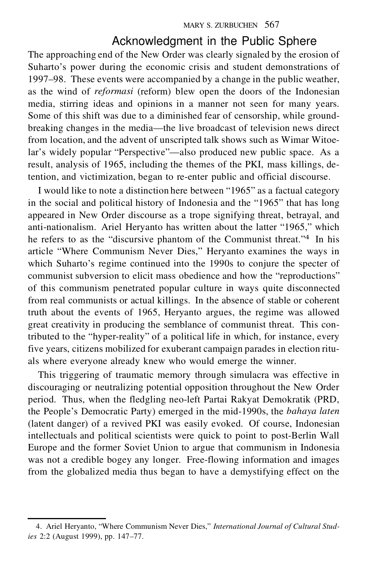#### Acknowledgment in the Public Sphere

The approaching end of the New Order was clearly signaled by the erosion of Suharto's power during the economic crisis and student demonstrations of 1997–98. These events were accompanied by a change in the public weather, as the wind of *reformasi* (reform) blew open the doors of the Indonesian media, stirring ideas and opinions in a manner not seen for many years. Some of this shift was due to a diminished fear of censorship, while groundbreaking changes in the media—the live broadcast of television news direct from location, and the advent of unscripted talk shows such as Wimar Witoelar's widely popular "Perspective"—also produced new public space. As a result, analysis of 1965, including the themes of the PKI, mass killings, detention, and victimization, began to re-enter public and official discourse.

I would like to note a distinction here between "1965" as a factual category in the social and political history of Indonesia and the "1965" that has long appeared in New Order discourse as a trope signifying threat, betrayal, and anti-nationalism. Ariel Heryanto has written about the latter "1965," which he refers to as the "discursive phantom of the Communist threat."4 In his article "Where Communism Never Dies," Heryanto examines the ways in which Suharto's regime continued into the 1990s to conjure the specter of communist subversion to elicit mass obedience and how the "reproductions" of this communism penetrated popular culture in ways quite disconnected from real communists or actual killings. In the absence of stable or coherent truth about the events of 1965, Heryanto argues, the regime was allowed great creativity in producing the semblance of communist threat. This contributed to the "hyper-reality" of a political life in which, for instance, every five years, citizens mobilized for exuberant campaign parades in election rituals where everyone already knew who would emerge the winner.

This triggering of traumatic memory through simulacra was effective in discouraging or neutralizing potential opposition throughout the New Order period. Thus, when the fledgling neo-left Partai Rakyat Demokratik (PRD, the People's Democratic Party) emerged in the mid-1990s, the *bahaya laten* (latent danger) of a revived PKI was easily evoked. Of course, Indonesian intellectuals and political scientists were quick to point to post-Berlin Wall Europe and the former Soviet Union to argue that communism in Indonesia was not a credible bogey any longer. Free-flowing information and images from the globalized media thus began to have a demystifying effect on the

<sup>4.</sup> Ariel Heryanto, "Where Communism Never Dies," *International Journal of Cultural Studies* 2:2 (August 1999), pp. 147–77.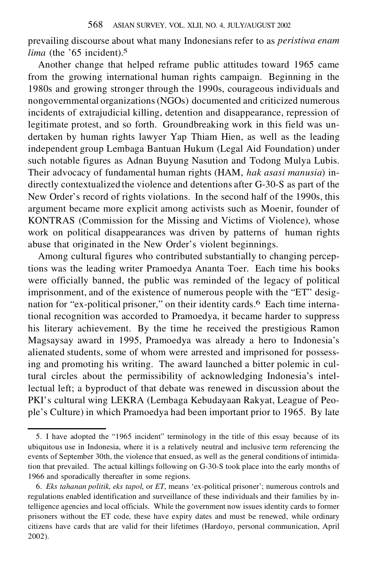prevailing discourse about what many Indonesians refer to as *peristiwa enam lima* (the '65 incident).<sup>5</sup>

Another change that helped reframe public attitudes toward 1965 came from the growing international human rights campaign. Beginning in the 1980s and growing stronger through the 1990s, courageous individuals and nongovernmental organizations (NGOs) documented and criticized numerous incidents of extrajudicial killing, detention and disappearance, repression of legitimate protest, and so forth. Groundbreaking work in this field was undertaken by human rights lawyer Yap Thiam Hien, as well as the leading independent group Lembaga Bantuan Hukum (Legal Aid Foundation) under such notable figures as Adnan Buyung Nasution and Todong Mulya Lubis. Their advocacy of fundamental human rights (HAM, *hak asasi manusia*) indirectly contextualized the violence and detentions after G-30-S as part of the New Order's record of rights violations. In the second half of the 1990s, this argument became more explicit among activists such as Moenir, founder of KONTRAS (Commission for the Missing and Victims of Violence), whose work on political disappearances was driven by patterns of human rights abuse that originated in the New Order's violent beginnings.

Among cultural figures who contributed substantially to changing perceptions was the leading writer Pramoedya Ananta Toer. Each time his books were officially banned, the public was reminded of the legacy of political imprisonment, and of the existence of numerous people with the "ET" designation for "ex-political prisoner," on their identity cards.<sup>6</sup> Each time international recognition was accorded to Pramoedya, it became harder to suppress his literary achievement. By the time he received the prestigious Ramon Magsaysay award in 1995, Pramoedya was already a hero to Indonesia's alienated students, some of whom were arrested and imprisoned for possessing and promoting his writing. The award launched a bitter polemic in cultural circles about the permissibility of acknowledging Indonesia's intellectual left; a byproduct of that debate was renewed in discussion about the PKI's cultural wing LEKRA (Lembaga Kebudayaan Rakyat, League of People's Culture) in which Pramoedya had been important prior to 1965. By late

<sup>5.</sup> I have adopted the "1965 incident" terminology in the title of this essay because of its ubiquitous use in Indonesia, where it is a relatively neutral and inclusive term referencing the events of September 30th, the violence that ensued, as well as the general conditions of intimidation that prevailed. The actual killings following on G-30-S took place into the early months of 1966 and sporadically thereafter in some regions.

<sup>6.</sup> *Eks tahanan politik, eks tapol*, or *ET*, means 'ex-political prisoner'; numerous controls and regulations enabled identification and surveillance of these individuals and their families by intelligence agencies and local officials. While the government now issues identity cards to former prisoners without the ET code, these have expiry dates and must be renewed, while ordinary citizens have cards that are valid for their lifetimes (Hardoyo, personal communication, April 2002).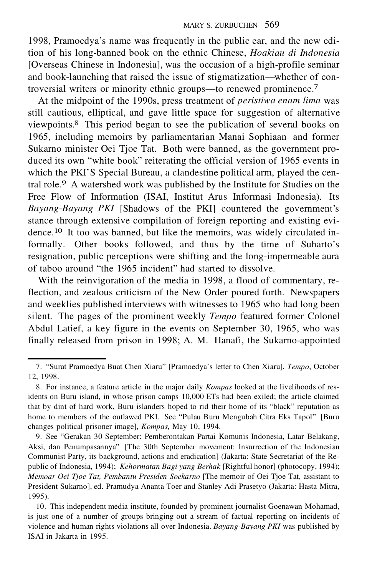1998, Pramoedya's name was frequently in the public ear, and the new edition of his long-banned book on the ethnic Chinese, *Hoakiau di Indonesia* [Overseas Chinese in Indonesia], was the occasion of a high-profile seminar and book-launching that raised the issue of stigmatization—whether of controversial writers or minority ethnic groups—to renewed prominence.7

At the midpoint of the 1990s, press treatment of *peristiwa enam lima* was still cautious, elliptical, and gave little space for suggestion of alternative viewpoints.8 This period began to see the publication of several books on 1965, including memoirs by parliamentarian Manai Sophiaan and former Sukarno minister Oei Tjoe Tat. Both were banned, as the government produced its own "white book" reiterating the official version of 1965 events in which the PKI'S Special Bureau, a clandestine political arm, played the central role.9 A watershed work was published by the Institute for Studies on the Free Flow of Information (ISAI, Institut Arus Informasi Indonesia). Its *Bayang-Bayang PKI* [Shadows of the PKI] countered the government's stance through extensive compilation of foreign reporting and existing evidence.10 It too was banned, but like the memoirs, was widely circulated informally. Other books followed, and thus by the time of Suharto's resignation, public perceptions were shifting and the long-impermeable aura of taboo around "the 1965 incident" had started to dissolve.

With the reinvigoration of the media in 1998, a flood of commentary, reflection, and zealous criticism of the New Order poured forth. Newspapers and weeklies published interviews with witnesses to 1965 who had long been silent. The pages of the prominent weekly *Tempo* featured former Colonel Abdul Latief, a key figure in the events on September 30, 1965, who was finally released from prison in 1998; A. M. Hanafi, the Sukarno-appointed

<sup>7.</sup> "Surat Pramoedya Buat Chen Xiaru" [Pramoedya's letter to Chen Xiaru], *Tempo*, October 12, 1998.

<sup>8.</sup> For instance, a feature article in the major daily *Kompas* looked at the livelihoods of residents on Buru island, in whose prison camps 10,000 ETs had been exiled; the article claimed that by dint of hard work, Buru islanders hoped to rid their home of its "black" reputation as home to members of the outlawed PKI. See "Pulau Buru Mengubah Citra Eks Tapol" [Buru changes political prisoner image], *Kompas,* May 10, 1994.

<sup>9.</sup> See "Gerakan 30 September: Pemberontakan Partai Komunis Indonesia, Latar Belakang, Aksi, dan Penumpasannya" [The 30th September movement: Insurrection of the Indonesian Communist Party, its background, actions and eradication] (Jakarta: State Secretariat of the Republic of Indonesia, 1994); *Kehormatan Bagi yang Berhak* [Rightful honor] (photocopy, 1994); *Memoar Oei Tjoe Tat, Pembantu Presiden Soekarno* [The memoir of Oei Tjoe Tat, assistant to President Sukarno], ed. Pramudya Ananta Toer and Stanley Adi Prasetyo (Jakarta: Hasta Mitra, 1995).

<sup>10.</sup> This independent media institute, founded by prominent journalist Goenawan Mohamad, is just one of a number of groups bringing out a stream of factual reporting on incidents of violence and human rights violations all over Indonesia. *Bayang-Bayang PKI* was published by ISAI in Jakarta in 1995.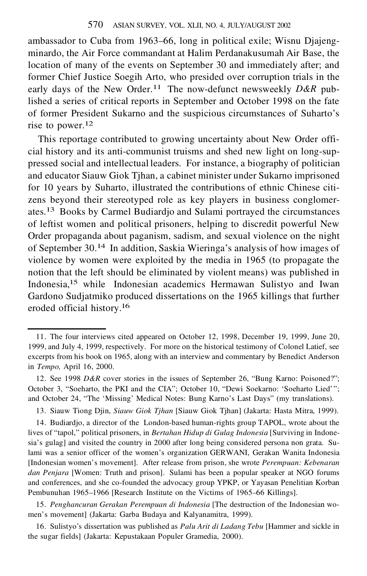ambassador to Cuba from 1963–66, long in political exile; Wisnu Djajengminardo, the Air Force commandant at Halim Perdanakusumah Air Base, the location of many of the events on September 30 and immediately after; and former Chief Justice Soegih Arto, who presided over corruption trials in the early days of the New Order.<sup>11</sup> The now-defunct newsweekly  $D\&R$  published a series of critical reports in September and October 1998 on the fate of former President Sukarno and the suspicious circumstances of Suharto's rise to power.12

This reportage contributed to growing uncertainty about New Order official history and its anti-communist truisms and shed new light on long-suppressed social and intellectual leaders. For instance, a biography of politician and educator Siauw Giok Tjhan, a cabinet minister under Sukarno imprisoned for 10 years by Suharto, illustrated the contributions of ethnic Chinese citizens beyond their stereotyped role as key players in business conglomerates.13 Books by Carmel Budiardjo and Sulami portrayed the circumstances of leftist women and political prisoners, helping to discredit powerful New Order propaganda about paganism, sadism, and sexual violence on the night of September 30.14 In addition, Saskia Wieringa's analysis of how images of violence by women were exploited by the media in 1965 (to propagate the notion that the left should be eliminated by violent means) was published in Indonesia,15 while Indonesian academics Hermawan Sulistyo and Iwan Gardono Sudjatmiko produced dissertations on the 1965 killings that further eroded official history.16

<sup>11.</sup> The four interviews cited appeared on October 12, 1998, December 19, 1999, June 20, 1999, and July 4, 1999, respectively. For more on the historical testimony of Colonel Latief, see excerpts from his book on 1965, along with an interview and commentary by Benedict Anderson in *Tempo,* April 16, 2000.

<sup>12.</sup> See 1998 *D&R* cover stories in the issues of September 26, "Bung Karno: Poisoned?"; October 3, "Soeharto, the PKI and the CIA"; October 10, "Dewi Soekarno: 'Soeharto Lied'"; and October 24, "The 'Missing' Medical Notes: Bung Karno's Last Days" (my translations).

<sup>13.</sup> Siauw Tiong Djin, *Siauw Giok Tjhan* [Siauw Giok Tjhan] (Jakarta: Hasta Mitra, 1999).

<sup>14.</sup> Budiardjo, a director of the London-based human-rights group TAPOL, wrote about the lives of "tapol," political prisoners, in *Bertahan Hidup di Gulag Indonesia* [Surviving in Indonesia's gulag] and visited the country in 2000 after long being considered persona non grata. Sulami was a senior officer of the women's organization GERWANI, Gerakan Wanita Indonesia [Indonesian women's movement]. After release from prison, she wrote *Perempuan: Kebenaran dan Penjara* [Women: Truth and prison]. Sulami has been a popular speaker at NGO forums and conferences, and she co-founded the advocacy group YPKP, or Yayasan Penelitian Korban Pembunuhan 1965–1966 [Research Institute on the Victims of 1965–66 Killings].

<sup>15.</sup> *Penghancuran Gerakan Perempuan di Indonesia* [The destruction of the Indonesian wo men's movement] (Jakarta: Garba Budaya and Kalyanamitra, 1999).

<sup>16.</sup> Sulistyo's dissertation was published as *Palu Arit di Ladang Tebu* [Hammer and sickle in the sugar fields] (Jakarta: Kepustakaan Populer Gramedia, 2000).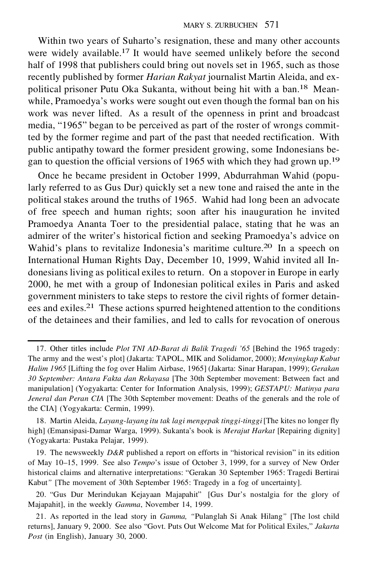Within two years of Suharto's resignation, these and many other accounts were widely available.17 It would have seemed unlikely before the second half of 1998 that publishers could bring out novels set in 1965, such as those recently published by former *Harian Rakyat* journalist Martin Aleida, and expolitical prisoner Putu Oka Sukanta, without being hit with a ban.18 Meanwhile, Pramoedya's works were sought out even though the formal ban on his work was never lifted. As a result of the openness in print and broadcast media, "1965" began to be perceived as part of the roster of wrongs committed by the former regime and part of the past that needed rectification. With public antipathy toward the former president growing, some Indonesians began to question the official versions of 1965 with which they had grown up.19

Once he became president in October 1999, Abdurrahman Wahid (popularly referred to as Gus Dur) quickly set a new tone and raised the ante in the political stakes around the truths of 1965. Wahid had long been an advocate of free speech and human rights; soon after his inauguration he invited Pramoedya Ananta Toer to the presidential palace, stating that he was an admirer of the writer's historical fiction and seeking Pramoedya's advice on Wahid's plans to revitalize Indonesia's maritime culture.<sup>20</sup> In a speech on International Human Rights Day, December 10, 1999, Wahid invited all Indonesians living as political exiles to return. On a stopover in Europe in early 2000, he met with a group of Indonesian political exiles in Paris and asked government ministers to take steps to restore the civil rights of former detainees and exiles.21 These actions spurred heightened attention to the conditions of the detainees and their families, and led to calls for revocation of onerous

<sup>17.</sup> Other titles include *Plot TNI AD-Barat di Balik Tragedi '65* [Behind the 1965 tragedy: The army and the west's plot] (Jakarta: TAPOL, MIK and Solidamor, 2000); *Menyingkap Kabut Halim 1965* [Lifting the fog over Halim Airbase, 1965] (Jakarta: Sinar Harapan, 1999); *Gerakan 30 September: Antara Fakta dan Rekayasa* [The 30th September movement: Between fact and manipulation] (Yogyakarta: Center for Information Analysis, 1999); *GESTAPU: Matinya para Jeneral dan Peran CIA* [The 30th September movement: Deaths of the generals and the role of the CIA] (Yogyakarta: Cermin, 1999).

<sup>18.</sup> Martin Aleida, *Layang-layang itu tak lagi mengepak tinggi-tinggi* [The kites no longer fly high] (Emansipasi-Damar Warga, 1999). Sukanta's book is *Merajut Harkat* [Repairing dignity] (Yogyakarta: Pustaka Pelajar, 1999).

<sup>19.</sup> The newsweekly *D&R* published a report on efforts in "historical revision" in its edition of May 10–15, 1999. See also *Tempo*'s issue of October 3, 1999, for a survey of New Order historical claims and alternative interpretations: "Gerakan 30 September 1965: Tragedi Bertirai Kabut*"* [The movement of 30th September 1965: Tragedy in a fog of uncertainty].

<sup>20.</sup> "Gus Dur Merindukan Kejayaan Majapahit" [Gus Dur's nostalgia for the glory of Majapahit], in the weekly *Gamma*, November 14, 1999.

<sup>21.</sup> As reported in the lead story in *Gamma, "*Pulanglah Si Anak Hilang*"* [The lost child returns], January 9, 2000. See also "Govt. Puts Out Welcome Mat for Political Exiles," *Jakarta Post* (in English), January 30, 2000.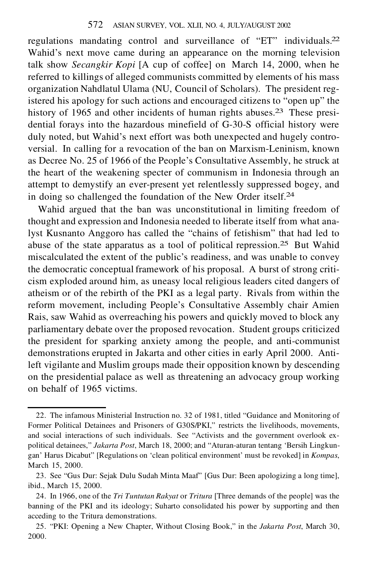regulations mandating control and surveillance of "ET" individuals.22 Wahid's next move came during an appearance on the morning television talk show *Secangkir Kopi* [A cup of coffee] on March 14, 2000, when he referred to killings of alleged communists committed by elements of his mass organization Nahdlatul Ulama (NU, Council of Scholars). The president registered his apology for such actions and encouraged citizens to "open up" the history of 1965 and other incidents of human rights abuses.<sup>23</sup> These presidential forays into the hazardous minefield of G-30-S official history were duly noted, but Wahid's next effort was both unexpected and hugely controversial. In calling for a revocation of the ban on Marxism-Leninism, known as Decree No. 25 of 1966 of the People's Consultative Assembly, he struck at the heart of the weakening specter of communism in Indonesia through an attempt to demystify an ever-present yet relentlessly suppressed bogey, and in doing so challenged the foundation of the New Order itself.24

Wahid argued that the ban was unconstitutional in limiting freedom of thought and expression and Indonesia needed to liberate itself from what analyst Kusnanto Anggoro has called the "chains of fetishism" that had led to abuse of the state apparatus as a tool of political repression.25 But Wahid miscalculated the extent of the public's readiness, and was unable to convey the democratic conceptual framework of his proposal. A burst of strong criticism exploded around him, as uneasy local religious leaders cited dangers of atheism or of the rebirth of the PKI as a legal party. Rivals from within the reform movement, including People's Consultative Assembly chair Amien Rais, saw Wahid as overreaching his powers and quickly moved to block any parliamentary debate over the proposed revocation. Student groups criticized the president for sparking anxiety among the people, and anti-communist demonstrations erupted in Jakarta and other cities in early April 2000. Antileft vigilante and Muslim groups made their opposition known by descending on the presidential palace as well as threatening an advocacy group working on behalf of 1965 victims.

<sup>22.</sup> The infamous Ministerial Instruction no. 32 of 1981, titled "Guidance and Monitoring of Former Political Detainees and Prisoners of G30S/PKI," restricts the livelihoods, movements, and social interactions of such individuals. See "Activists and the government overlook ex political detainees," *Jakarta Post*, March 18, 2000; and "Aturan-aturan tentang 'Bersih Lingkungan' Harus Dicabut" [Regulations on 'clean political environment' must be revoked] in *Kompas*, March 15, 2000.

<sup>23.</sup> See "Gus Dur: Sejak Dulu Sudah Minta Maaf" [Gus Dur: Been apologizing a long time], ibid., March 15, 2000.

<sup>24.</sup> In 1966, one of the *Tri Tuntutan Rakyat* or *Tritura* [Three demands of the people] was the banning of the PKI and its ideology; Suharto consolidated his power by supporting and then acceding to the Tritura demonstrations.

<sup>25.</sup> "PKI: Opening a New Chapter, Without Closing Book," in the *Jakarta Post*, March 30, 2000.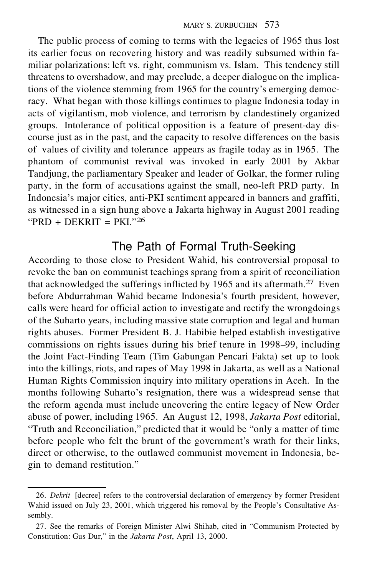The public process of coming to terms with the legacies of 1965 thus lost its earlier focus on recovering history and was readily subsumed within familiar polarizations: left vs. right, communism vs. Islam. This tendency still threatens to overshadow, and may preclude, a deeper dialogue on the implications of the violence stemming from 1965 for the country's emerging democracy. What began with those killings continues to plague Indonesia today in acts of vigilantism, mob violence, and terrorism by clandestinely organized groups. Intolerance of political opposition is a feature of present-day discourse just as in the past, and the capacity to resolve differences on the basis of values of civility and tolerance appears as fragile today as in 1965. The phantom of communist revival was invoked in early 2001 by Akbar Tandjung, the parliamentary Speaker and leader of Golkar, the former ruling party, in the form of accusations against the small, neo-left PRD party. In Indonesia's major cities, anti-PKI sentiment appeared in banners and graffiti, as witnessed in a sign hung above a Jakarta highway in August 2001 reading " $PRD + DEKRIT = PKI."<sup>26</sup>$ 

## The Path of Formal Truth-Seeking

According to those close to President Wahid, his controversial proposal to revoke the ban on communist teachings sprang from a spirit of reconciliation that acknowledged the sufferings inflicted by 1965 and its aftermath.<sup>27</sup> Even before Abdurrahman Wahid became Indonesia's fourth president, however, calls were heard for official action to investigate and rectify the wrongdoings of the Suharto years, including massive state corruption and legal and human rights abuses. Former President B. J. Habibie helped establish investigative commissions on rights issues during his brief tenure in 1998–99, including the Joint Fact-Finding Team (Tim Gabungan Pencari Fakta) set up to look into the killings, riots, and rapes of May 1998 in Jakarta, as well as a National Human Rights Commission inquiry into military operations in Aceh. In the months following Suharto's resignation, there was a widespread sense that the reform agenda must include uncovering the entire legacy of New Order abuse of power, including 1965. An August 12, 1998, *Jakarta Post* editorial, "Truth and Reconciliation," predicted that it would be "only a matter of time before people who felt the brunt of the government's wrath for their links, direct or otherwise, to the outlawed communist movement in Indonesia, begin to demand restitution."

<sup>26.</sup> *Dekrit* [decree] refers to the controversial declaration of emergency by former President Wahid issued on July 23, 2001, which triggered his removal by the People's Consultative Assembly.

<sup>27.</sup> See the remarks of Foreign Minister Alwi Shihab, cited in "Communism Protected by Constitution: Gus Dur," in the *Jakarta Post*, April 13, 2000.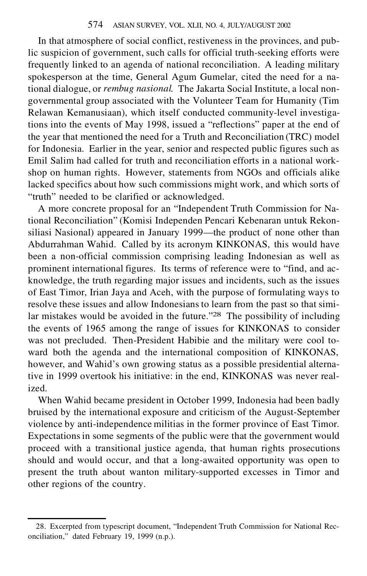In that atmosphere of social conflict, restiveness in the provinces, and public suspicion of government, such calls for official truth-seeking efforts were frequently linked to an agenda of national reconciliation. A leading military spokesperson at the time, General Agum Gumelar, cited the need for a national dialogue, or *rembug nasional*. The Jakarta Social Institute, a local nongovernmental group associated with the Volunteer Team for Humanity (Tim Relawan Kemanusiaan), which itself conducted community-level investigations into the events of May 1998, issued a "reflections" paper at the end of the year that mentioned the need for a Truth and Reconciliation (TRC) model for Indonesia. Earlier in the year, senior and respected public figures such as Emil Salim had called for truth and reconciliation efforts in a national workshop on human rights. However, statements from NGOs and officials alike lacked specifics about how such commissions might work, and which sorts of "truth" needed to be clarified or acknowledged.

A more concrete proposal for an "Independent Truth Commission for National Reconciliation" (Komisi Independen Pencari Kebenaran untuk Rekonsiliasi Nasional) appeared in January 1999—the product of none other than Abdurrahman Wahid. Called by its acronym KINKONAS, this would have been a non-official commission comprising leading Indonesian as well as prominent international figures. Its terms of reference were to "find, and acknowledge, the truth regarding major issues and incidents, such as the issues of East Timor, Irian Jaya and Aceh, with the purpose of formulating ways to resolve these issues and allow Indonesians to learn from the past so that similar mistakes would be avoided in the future."28 The possibility of including the events of 1965 among the range of issues for KINKONAS to consider was not precluded. Then-President Habibie and the military were cool toward both the agenda and the international composition of KINKONAS, however, and Wahid's own growing status as a possible presidential alternative in 1999 overtook his initiative: in the end, KINKONAS was never realized.

When Wahid became president in October 1999, Indonesia had been badly bruised by the international exposure and criticism of the August-September violence by anti-independence militias in the former province of East Timor. Expectations in some segments of the public were that the government would proceed with a transitional justice agenda, that human rights prosecutions should and would occur, and that a long-awaited opportunity was open to present the truth about wanton military-supported excesses in Timor and other regions of the country.

<sup>28.</sup> Excerpted from typescript document, "Independent Truth Commission for National Reconciliation," dated February 19, 1999 (n.p.).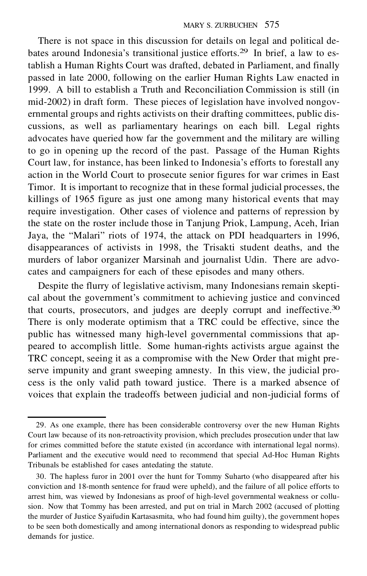There is not space in this discussion for details on legal and political debates around Indonesia's transitional justice efforts.29 In brief, a law to establish a Human Rights Court was drafted, debated in Parliament, and finally passed in late 2000, following on the earlier Human Rights Law enacted in 1999. A bill to establish a Truth and Reconciliation Commission is still (in mid-2002) in draft form. These pieces of legislation have involved nongovernmental groups and rights activists on their drafting committees, public discussions, as well as parliamentary hearings on each bill. Legal rights advocates have queried how far the government and the military are willing to go in opening up the record of the past. Passage of the Human Rights Court law, for instance, has been linked to Indonesia's efforts to forestall any action in the World Court to prosecute senior figures for war crimes in East Timor. It is important to recognize that in these formal judicial processes, the killings of 1965 figure as just one among many historical events that may require investigation. Other cases of violence and patterns of repression by the state on the roster include those in Tanjung Priok, Lampung, Aceh, Irian Jaya, the "Malari" riots of 1974, the attack on PDI headquarters in 1996, disappearances of activists in 1998, the Trisakti student deaths, and the murders of labor organizer Marsinah and journalist Udin. There are advocates and campaigners for each of these episodes and many others.

Despite the flurry of legislative activism, many Indonesians remain skeptical about the government's commitment to achieving justice and convinced that courts, prosecutors, and judges are deeply corrupt and ineffective.30 There is only moderate optimism that a TRC could be effective, since the public has witnessed many high-level governmental commissions that appeared to accomplish little. Some human-rights activists argue against the TRC concept, seeing it as a compromise with the New Order that might preserve impunity and grant sweeping amnesty. In this view, the judicial process is the only valid path toward justice. There is a marked absence of voices that explain the tradeoffs between judicial and non-judicial forms of

<sup>29.</sup> As one example, there has been considerable controversy over the new Human Rights Court law because of its non-retroactivity provision, which precludes prosecution under that law for crimes committed before the statute existed (in accordance with international legal norms). Parliament and the executive would need to recommend that special Ad-Hoc Human Rights Tribunals be established for cases antedating the statute.

<sup>30.</sup> The hapless furor in 2001 over the hunt for Tommy Suharto (who disappeared after his conviction and 18-month sentence for fraud were upheld), and the failure of all police efforts to arrest him, was viewed by Indonesians as proof of high-level governmental weakness or collusion. Now that Tommy has been arrested, and put on trial in March 2002 (accused of plotting the murder of Justice Syaifudin Kartasasmita, who had found him guilty), the government hopes to be seen both domestically and among international donors as responding to widespread public demands for justice.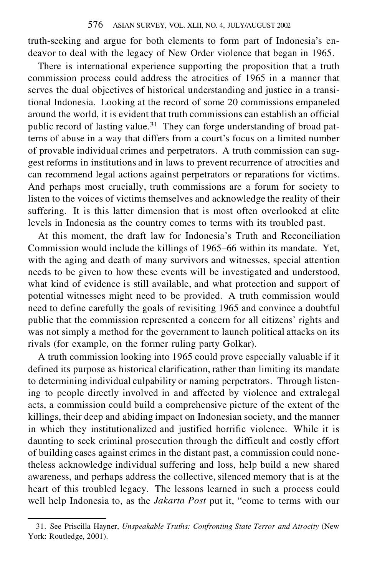truth-seeking and argue for both elements to form part of Indonesia's endeavor to deal with the legacy of New Order violence that began in 1965.

There is international experience supporting the proposition that a truth commission process could address the atrocities of 1965 in a manner that serves the dual objectives of historical understanding and justice in a transitional Indonesia. Looking at the record of some 20 commissions empaneled around the world, it is evident that truth commissions can establish an official public record of lasting value.<sup>31</sup> They can forge understanding of broad patterns of abuse in a way that differs from a court's focus on a limited number of provable individual crimes and perpetrators. A truth commission can suggest reforms in institutions and in laws to prevent recurrence of atrocities and can recommend legal actions against perpetrators or reparations for victims. And perhaps most crucially, truth commissions are a forum for society to listen to the voices of victims themselves and acknowledge the reality of their suffering. It is this latter dimension that is most often overlooked at elite levels in Indonesia as the country comes to terms with its troubled past.

At this moment, the draft law for Indonesia's Truth and Reconciliation Commission would include the killings of 1965–66 within its mandate. Yet, with the aging and death of many survivors and witnesses, special attention needs to be given to how these events will be investigated and understood, what kind of evidence is still available, and what protection and support of potential witnesses might need to be provided. A truth commission would need to define carefully the goals of revisiting 1965 and convince a doubtful public that the commission represented a concern for all citizens' rights and was not simply a method for the government to launch political attacks on its rivals (for example, on the former ruling party Golkar).

A truth commission looking into 1965 could prove especially valuable if it defined its purpose as historical clarification, rather than limiting its mandate to determining individual culpability or naming perpetrators. Through listening to people directly involved in and affected by violence and extralegal acts, a commission could build a comprehensive picture of the extent of the killings, their deep and abiding impact on Indonesian society, and the manner in which they institutionalized and justified horrific violence. While it is daunting to seek criminal prosecution through the difficult and costly effort of building cases against crimes in the distant past, a commission could nonetheless acknowledge individual suffering and loss, help build a new shared awareness, and perhaps address the collective, silenced memory that is at the heart of this troubled legacy. The lessons learned in such a process could well help Indonesia to, as the *Jakarta Post* put it, "come to terms with our

<sup>31.</sup> See Priscilla Hayner, *Unspeakable Truths: Confronting State Terror and Atrocity* (New York: Routledge, 2001).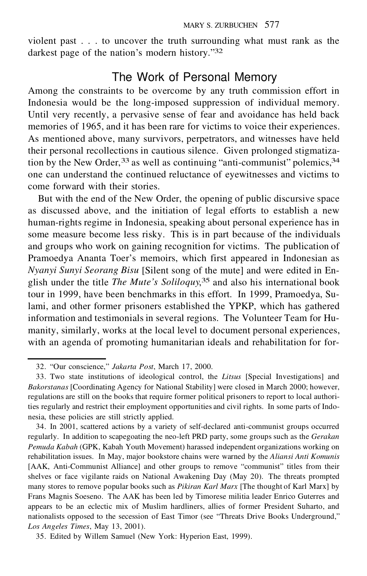violent past . . . to uncover the truth surrounding what must rank as the darkest page of the nation's modern history."32

### The Work of Personal Memory

Among the constraints to be overcome by any truth commission effort in Indonesia would be the long-imposed suppression of individual memory. Until very recently, a pervasive sense of fear and avoidance has held back memories of 1965, and it has been rare for victims to voice their experiences. As mentioned above, many survivors, perpetrators, and witnesses have held their personal recollections in cautious silence. Given prolonged stigmatization by the New Order,<sup>33</sup> as well as continuing "anti-communist" polemics,<sup>34</sup> one can understand the continued reluctance of eyewitnesses and victims to come forward with their stories.

But with the end of the New Order, the opening of public discursive space as discussed above, and the initiation of legal efforts to establish a new human-rights regime in Indonesia, speaking about personal experience has in some measure become less risky. This is in part because of the individuals and groups who work on gaining recognition for victims. The publication of Pramoedya Ananta Toer's memoirs, which first appeared in Indonesian as *Nyanyi Sunyi Seorang Bisu* [Silent song of the mute] and were edited in English under the title *The Mute's Soliloquy*,35 and also his international book tour in 1999, have been benchmarks in this effort. In 1999, Pramoedya, Sulami, and other former prisoners established the YPKP, which has gathered information and testimonials in several regions. The Volunteer Team for Humanity, similarly, works at the local level to document personal experiences, with an agenda of promoting humanitarian ideals and rehabilitation for for-

<sup>32.</sup> "Our conscience," *Jakarta Post*, March 17, 2000.

<sup>33.</sup> Two state institutions of ideological control, the *Litsus* [Special Investigations] and *Bakorstanas* [Coordinating Agency for National Stability] were closed in March 2000; however, regulations are still on the books that require former political prisoners to report to local authorities regularly and restrict their employment opportunities and civil rights. In some parts of Indonesia, these policies are still strictly applied.

<sup>34.</sup> In 2001, scattered actions by a variety of self-declared anti-communist groups occurred regularly. In addition to scapegoating the neo-left PRD party, some groups such as the *Gerakan Pemuda Kabah* (GPK, Kabah Youth Movement) harassed independent organizations working on rehabilitation issues. In May, major bookstore chains were warned by the *Aliansi Anti Komunis* [AAK, Anti-Communist Alliance] and other groups to remove "communist" titles from their shelves or face vigilante raids on National Awakening Day (May 20). The threats prompted many stores to remove popular books such as *Pikiran Karl Marx* [The thought of Karl Marx] by Frans Magnis Soeseno. The AAK has been led by Timorese militia leader Enrico Guterres and appears to be an eclectic mix of Muslim hardliners, allies of former President Suharto, and nationalists opposed to the secession of East Timor (see "Threats Drive Books Underground," *Los Angeles Times*, May 13, 2001).

<sup>35.</sup> Edited by Willem Samuel (New York: Hyperion East, 1999).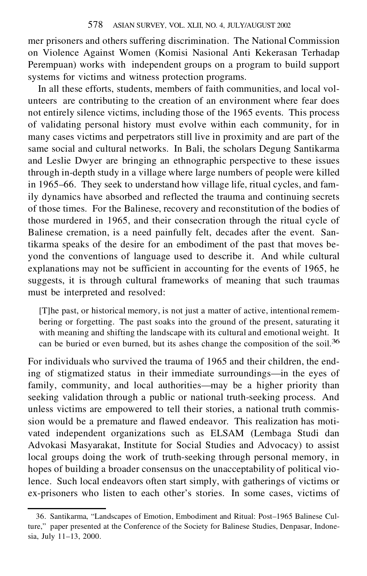mer prisoners and others suffering discrimination. The National Commission on Violence Against Women (Komisi Nasional Anti Kekerasan Terhadap Perempuan) works with independent groups on a program to build support systems for victims and witness protection programs.

In all these efforts, students, members of faith communities, and local volunteers are contributing to the creation of an environment where fear does not entirely silence victims, including those of the 1965 events. This process of validating personal history must evolve within each community, for in many cases victims and perpetrators still live in proximity and are part of the same social and cultural networks. In Bali, the scholars Degung Santikarma and Leslie Dwyer are bringing an ethnographic perspective to these issues through in-depth study in a village where large numbers of people were killed in 1965–66. They seek to understand how village life, ritual cycles, and family dynamics have absorbed and reflected the trauma and continuing secrets of those times. For the Balinese, recovery and reconstitution of the bodies of those murdered in 1965, and their consecration through the ritual cycle of Balinese cremation, is a need painfully felt, decades after the event. Santikarma speaks of the desire for an embodiment of the past that moves beyond the conventions of language used to describe it. And while cultural explanations may not be sufficient in accounting for the events of 1965, he suggests, it is through cultural frameworks of meaning that such traumas must be interpreted and resolved:

[T]he past, or historical memory, is not just a matter of active, intentional remem bering or forgetting. The past soaks into the ground of the present, saturating it with meaning and shifting the landscape with its cultural and emotional weight. It can be buried or even burned, but its ashes change the composition of the soil.<sup>36</sup>

For individuals who survived the trauma of 1965 and their children, the ending of stigmatized status in their immediate surroundings—in the eyes of family, community, and local authorities—may be a higher priority than seeking validation through a public or national truth-seeking process. And unless victims are empowered to tell their stories, a national truth commission would be a premature and flawed endeavor. This realization has motivated independent organizations such as ELSAM (Lembaga Studi dan Advokasi Masyarakat, Institute for Social Studies and Advocacy) to assist local groups doing the work of truth-seeking through personal memory, in hopes of building a broader consensus on the unacceptability of political violence. Such local endeavors often start simply, with gatherings of victims or ex-prisoners who listen to each other's stories. In some cases, victims of

<sup>36.</sup> Santikarma, "Landscapes of Emotion, Embodiment and Ritual: Post–1965 Balinese Culture," paper presented at the Conference of the Society for Balinese Studies, Denpasar, Indonesia, July 11–13, 2000.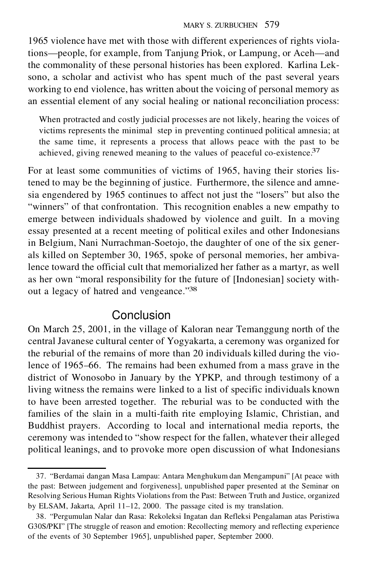1965 violence have met with those with different experiences of rights violations—people, for example, from Tanjung Priok, or Lampung, or Aceh—and the commonality of these personal histories has been explored. Karlina Leksono, a scholar and activist who has spent much of the past several years working to end violence, has written about the voicing of personal memory as an essential element of any social healing or national reconciliation process:

When protracted and costly judicial processes are not likely, hearing the voices of victims represents the minimal step in preventing continued political amnesia; at the same time, it represents a process that allows peace with the past to be achieved, giving renewed meaning to the values of peaceful co-existence.37

For at least some communities of victims of 1965, having their stories listened to may be the beginning of justice. Furthermore, the silence and amnesia engendered by 1965 continues to affect not just the "losers" but also the "winners" of that confrontation. This recognition enables a new empathy to emerge between individuals shadowed by violence and guilt. In a moving essay presented at a recent meeting of political exiles and other Indonesians in Belgium, Nani Nurrachman-Soetojo, the daughter of one of the six generals killed on September 30, 1965, spoke of personal memories, her ambivalence toward the official cult that memorialized her father as a martyr, as well as her own "moral responsibility for the future of [Indonesian] society without a legacy of hatred and vengeance."38

### Conclusion

On March 25, 2001, in the village of Kaloran near Temanggung north of the central Javanese cultural center of Yogyakarta, a ceremony was organized for the reburial of the remains of more than 20 individuals killed during the violence of 1965–66. The remains had been exhumed from a mass grave in the district of Wonosobo in January by the YPKP, and through testimony of a living witness the remains were linked to a list of specific individuals known to have been arrested together. The reburial was to be conducted with the families of the slain in a multi-faith rite employing Islamic, Christian, and Buddhist prayers. According to local and international media reports, the ceremony was intended to "show respect for the fallen, whatever their alleged political leanings, and to provoke more open discussion of what Indonesians

<sup>37.</sup> "Berdamai dangan Masa Lampau: Antara Menghukum dan Mengampuni" [At peace with the past: Between judgement and forgiveness], unpublished paper presented at the Seminar on Resolving Serious Human Rights Violations from the Past: Between Truth and Justice, organized by ELSAM, Jakarta, April 11–12, 2000. The passage cited is my translation.

<sup>38.</sup> "Pergumulan Nalar dan Rasa: Rekoleksi Ingatan dan Refleksi Pengalaman atas Peristiwa G30S/PKI" [The struggle of reason and emotion: Recollecting memory and reflecting experience of the events of 30 September 1965], unpublished paper, September 2000.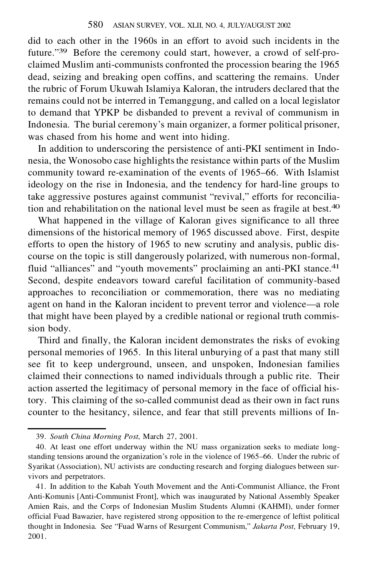did to each other in the 1960s in an effort to avoid such incidents in the future."39 Before the ceremony could start, however, a crowd of self-proclaimed Muslim anti-communists confronted the procession bearing the 1965 dead, seizing and breaking open coffins, and scattering the remains. Under the rubric of Forum Ukuwah Islamiya Kaloran, the intruders declared that the remains could not be interred in Temanggung, and called on a local legislator to demand that YPKP be disbanded to prevent a revival of communism in Indonesia. The burial ceremony's main organizer, a former political prisoner, was chased from his home and went into hiding.

In addition to underscoring the persistence of anti-PKI sentiment in Indonesia, the Wonosobo case highlights the resistance within parts of the Muslim community toward re-examination of the events of 1965–66. With Islamist ideology on the rise in Indonesia, and the tendency for hard-line groups to take aggressive postures against communist "revival," efforts for reconciliation and rehabilitation on the national level must be seen as fragile at best.40

What happened in the village of Kaloran gives significance to all three dimensions of the historical memory of 1965 discussed above. First, despite efforts to open the history of 1965 to new scrutiny and analysis, public discourse on the topic is still dangerously polarized, with numerous non-formal, fluid "alliances" and "youth movements" proclaiming an anti-PKI stance.<sup>41</sup> Second, despite endeavors toward careful facilitation of community-based approaches to reconciliation or commemoration, there was no mediating agent on hand in the Kaloran incident to prevent terror and violence—a role that might have been played by a credible national or regional truth commission body.

Third and finally, the Kaloran incident demonstrates the risks of evoking personal memories of 1965. In this literal unburying of a past that many still see fit to keep underground, unseen, and unspoken, Indonesian families claimed their connections to named individuals through a public rite. Their action asserted the legitimacy of personal memory in the face of official history. This claiming of the so-called communist dead as their own in fact runs counter to the hesitancy, silence, and fear that still prevents millions of In-

<sup>39.</sup> *South China Morning Post*, March 27, 2001.

<sup>40.</sup> At least one effort underway within the NU mass organization seeks to mediate longstanding tensions around the organization's role in the violence of 1965–66. Under the rubric of Syarikat (Association), NU activists are conducting research and forging dialogues between sur vivors and perpetrators.

<sup>41.</sup> In addition to the Kabah Youth Movement and the Anti-Communist Alliance, the Front Anti-Komunis [Anti-Communist Front], which was inaugurated by National Assembly Speaker Amien Rais, and the Corps of Indonesian Muslim Students Alumni (KAHMI), under former official Fuad Bawazier, have registered strong opposition to the re-emergence of leftist political thought in Indonesia. See "Fuad Warns of Resurgent Communism," *Jakarta Post,* February 19, 2001.